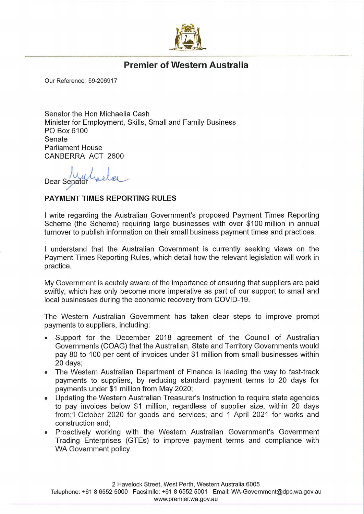

## Premier of Western Australia

Our Reference: 59-206917

Senator the Hon Michaelia Cash Minister for Employment, Skills, Small and Family Business PO Box 6100 Senate Parliament House CANBERRA ACT 2600

Dear Sepator

## PAYMENT TIMES REPORTING RULES

I write regarding the Australian Government's proposed Payment Times Reporting Scheme (the Scheme) requiring large businesses with over \$100 million in annual turnover to publish information on their small business payment times and practices,

I understand that the Australian Government is currently seeking views on the Payment Times Reporting Rules, which detail how the relevant legislation will work in practice.

My Government is acutely aware of the importance of ensuring that suppliers are paid swiftly, which has only become more imperative as part of our support to small and local businesses during the economic recovery from COVID-19.

The Western Australian Government has taken clear steps to improve prompt payments to suppliers, including:

- Support for the December 2018 agreement of the Council of Australian Governments (COAG) that the Australian, State and Territory Governments would pay 80 to 100 per cent of invoices under \$1 million from small businesses within 20 days;
- The Western Australian Department of Finance is leading the way to fast-track payments to suppliers, by reducing standard payment terms to 20 days for payments under \$1 million from May 2020;
- Updating the Western Australian Treasurer's Instruction to require state agencies to pay invoices below \$1 million, regardless of supplier size, within 20 days from;1 October 2020 for goods and services; and 1 April 2021 for works and construction and;
- Proactively working with the Western Australian Government's Government Trading Enterprises (GTEs) to improve payment terms and compliance with WA Government policy.